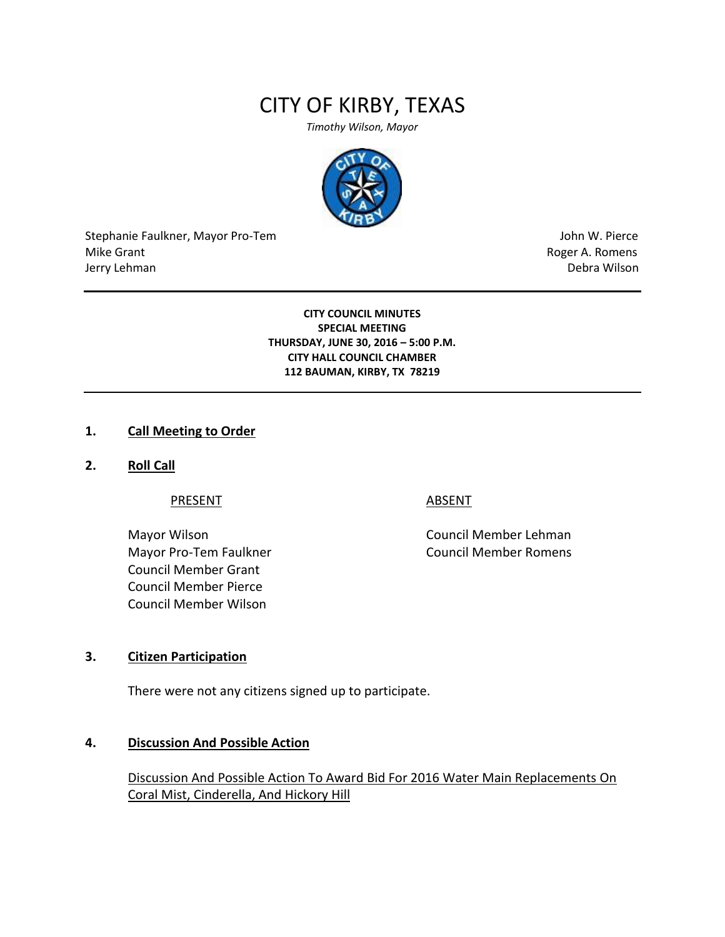# CITY OF KIRBY, TEXAS

*Timothy Wilson, Mayor*



Stephanie Faulkner, Mayor Pro-Tem John W. Pierce Mike Grant **Mike Grant** Roger A. Romens **Contract A. Romens Roger A. Romens** Jerry Lehman Debra Wilson (2008) and the state of the state of the state of the state of the state of the state of the state of the state of the state of the state of the state of the state of the state of the state of the

**CITY COUNCIL MINUTES SPECIAL MEETING THURSDAY, JUNE 30, 2016 – 5:00 P.M. CITY HALL COUNCIL CHAMBER 112 BAUMAN, KIRBY, TX 78219**

#### **1. Call Meeting to Order**

**2. Roll Call**

PRESENT ABSENT

Mayor Pro-Tem Faulkner Council Member Romens Council Member Grant Council Member Pierce Council Member Wilson

Mayor Wilson **Council Member Lehman** 

### **3. Citizen Participation**

There were not any citizens signed up to participate.

#### **4. Discussion And Possible Action**

Discussion And Possible Action To Award Bid For 2016 Water Main Replacements On Coral Mist, Cinderella, And Hickory Hill